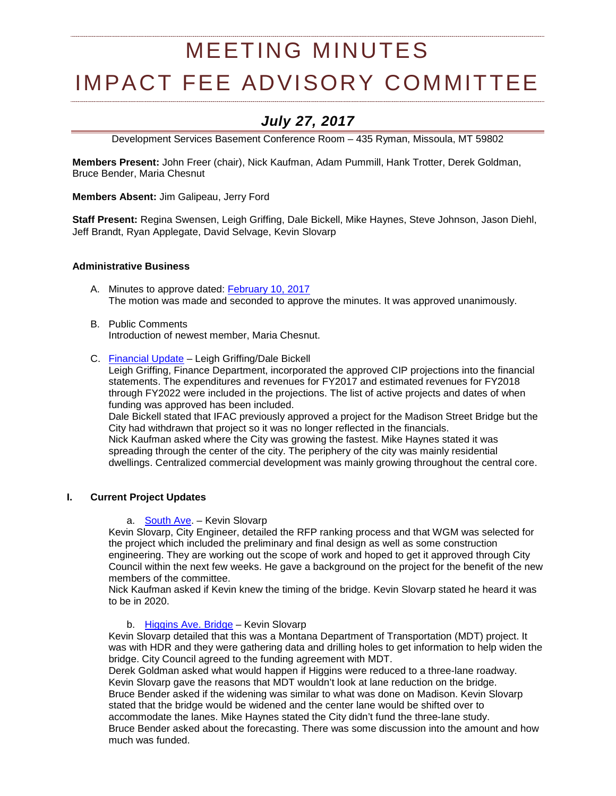# MEETING MINUTES

# IMPACT FEE ADVISORY COMMITTEE

# *July 27, 2017*

Development Services Basement Conference Room – 435 Ryman, Missoula, MT 59802

**Members Present:** John Freer (chair), Nick Kaufman, Adam Pummill, Hank Trotter, Derek Goldman, Bruce Bender, Maria Chesnut

**Members Absent:** Jim Galipeau, Jerry Ford

**Staff Present:** Regina Swensen, Leigh Griffing, Dale Bickell, Mike Haynes, Steve Johnson, Jason Diehl, Jeff Brandt, Ryan Applegate, David Selvage, Kevin Slovarp

# **Administrative Business**

- A. Minutes to approve dated: [February 10, 2017](http://ci.missoula.mt.us/Archive.aspx?ADID=11176) The motion was made and seconded to approve the minutes. It was approved unanimously.
- B. Public Comments Introduction of newest member, Maria Chesnut.
- C. [Financial Update](https://www.ci.missoula.mt.us/DocumentCenter/View/40459) Leigh Griffing/Dale Bickell

Leigh Griffing, Finance Department, incorporated the approved CIP projections into the financial statements. The expenditures and revenues for FY2017 and estimated revenues for FY2018 through FY2022 were included in the projections. The list of active projects and dates of when funding was approved has been included.

Dale Bickell stated that IFAC previously approved a project for the Madison Street Bridge but the City had withdrawn that project so it was no longer reflected in the financials. Nick Kaufman asked where the City was growing the fastest. Mike Haynes stated it was spreading through the center of the city. The periphery of the city was mainly residential dwellings. Centralized commercial development was mainly growing throughout the central core.

# **I. Current Project Updates**

#### a. [South Ave.](https://www.ci.missoula.mt.us/DocumentCenter/View/39239) – Kevin Slovarp

Kevin Slovarp, City Engineer, detailed the RFP ranking process and that WGM was selected for the project which included the preliminary and final design as well as some construction engineering. They are working out the scope of work and hoped to get it approved through City Council within the next few weeks. He gave a background on the project for the benefit of the new members of the committee.

Nick Kaufman asked if Kevin knew the timing of the bridge. Kevin Slovarp stated he heard it was to be in 2020.

# b. [Higgins Ave. Bridge](https://www.ci.missoula.mt.us/DocumentCenter/View/33695) - Kevin Slovarp

Kevin Slovarp detailed that this was a Montana Department of Transportation (MDT) project. It was with HDR and they were gathering data and drilling holes to get information to help widen the bridge. City Council agreed to the funding agreement with MDT.

Derek Goldman asked what would happen if Higgins were reduced to a three-lane roadway. Kevin Slovarp gave the reasons that MDT wouldn't look at lane reduction on the bridge. Bruce Bender asked if the widening was similar to what was done on Madison. Kevin Slovarp stated that the bridge would be widened and the center lane would be shifted over to accommodate the lanes. Mike Haynes stated the City didn't fund the three-lane study. Bruce Bender asked about the forecasting. There was some discussion into the amount and how much was funded.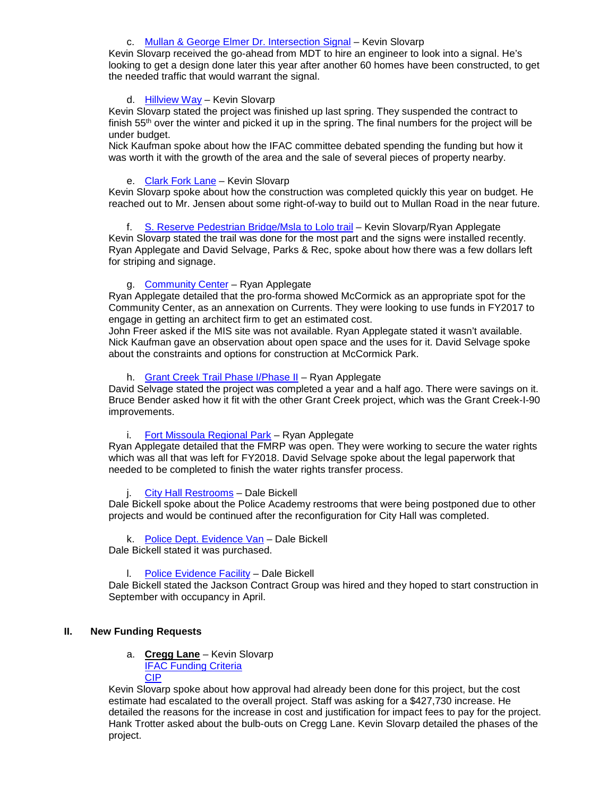# c. [Mullan & George Elmer Dr. Intersection Signal](https://www.ci.missoula.mt.us/DocumentCenter/View/39234) – Kevin Slovarp

Kevin Slovarp received the go-ahead from MDT to hire an engineer to look into a signal. He's looking to get a design done later this year after another 60 homes have been constructed, to get the needed traffic that would warrant the signal.

#### d. [Hillview Way](https://www.ci.missoula.mt.us/DocumentCenter/View/33837) - Kevin Slovarp

Kevin Slovarp stated the project was finished up last spring. They suspended the contract to finish 55<sup>th</sup> over the winter and picked it up in the spring. The final numbers for the project will be under budget.

Nick Kaufman spoke about how the IFAC committee debated spending the funding but how it was worth it with the growth of the area and the sale of several pieces of property nearby.

# e. [Clark Fork Lane](https://www.ci.missoula.mt.us/DocumentCenter/View/33834) – Kevin Slovarp

Kevin Slovarp spoke about how the construction was completed quickly this year on budget. He reached out to Mr. Jensen about some right-of-way to build out to Mullan Road in the near future.

# f. [S. Reserve Pedestrian Bridge/Msla to Lolo trail](https://www.ci.missoula.mt.us/DocumentCenter/View/29772) - Kevin Slovarp/Ryan Applegate

Kevin Slovarp stated the trail was done for the most part and the signs were installed recently. Ryan Applegate and David Selvage, Parks & Rec, spoke about how there was a few dollars left for striping and signage.

# g. [Community Center](https://www.ci.missoula.mt.us/DocumentCenter/View/33701) - Ryan Applegate

Ryan Applegate detailed that the pro-forma showed McCormick as an appropriate spot for the Community Center, as an annexation on Currents. They were looking to use funds in FY2017 to engage in getting an architect firm to get an estimated cost.

John Freer asked if the MIS site was not available. Ryan Applegate stated it wasn't available. Nick Kaufman gave an observation about open space and the uses for it. David Selvage spoke about the constraints and options for construction at McCormick Park.

### h. [Grant Creek Trail Phase I/Phase II](https://www.ci.missoula.mt.us/DocumentCenter/View/32601) – Ryan Applegate

David Selvage stated the project was completed a year and a half ago. There were savings on it. Bruce Bender asked how it fit with the other Grant Creek project, which was the Grant Creek-I-90 improvements.

#### i. [Fort Missoula Regional Park](https://www.ci.missoula.mt.us/DocumentCenter/View/33800) – Ryan Applegate

Ryan Applegate detailed that the FMRP was open. They were working to secure the water rights which was all that was left for FY2018. David Selvage spoke about the legal paperwork that needed to be completed to finish the water rights transfer process.

# j. [City Hall Restrooms](https://www.ci.missoula.mt.us/DocumentCenter/View/32599) – Dale Bickell

Dale Bickell spoke about the Police Academy restrooms that were being postponed due to other projects and would be continued after the reconfiguration for City Hall was completed.

# k. [Police Dept. Evidence Van](https://www.ci.missoula.mt.us/DocumentCenter/View/32605) – Dale Bickell

Dale Bickell stated it was purchased.

#### l. [Police Evidence Facility](https://www.ci.missoula.mt.us/DocumentCenter/View/39225) – Dale Bickell

Dale Bickell stated the Jackson Contract Group was hired and they hoped to start construction in September with occupancy in April.

# **II. New Funding Requests**

# a. **Cregg Lane** – Kevin Slovarp [IFAC Funding Criteria](https://www.ci.missoula.mt.us/DocumentCenter/View/40358)

[CIP](https://www.ci.missoula.mt.us/DocumentCenter/View/39235)

Kevin Slovarp spoke about how approval had already been done for this project, but the cost estimate had escalated to the overall project. Staff was asking for a \$427,730 increase. He detailed the reasons for the increase in cost and justification for impact fees to pay for the project. Hank Trotter asked about the bulb-outs on Cregg Lane. Kevin Slovarp detailed the phases of the project.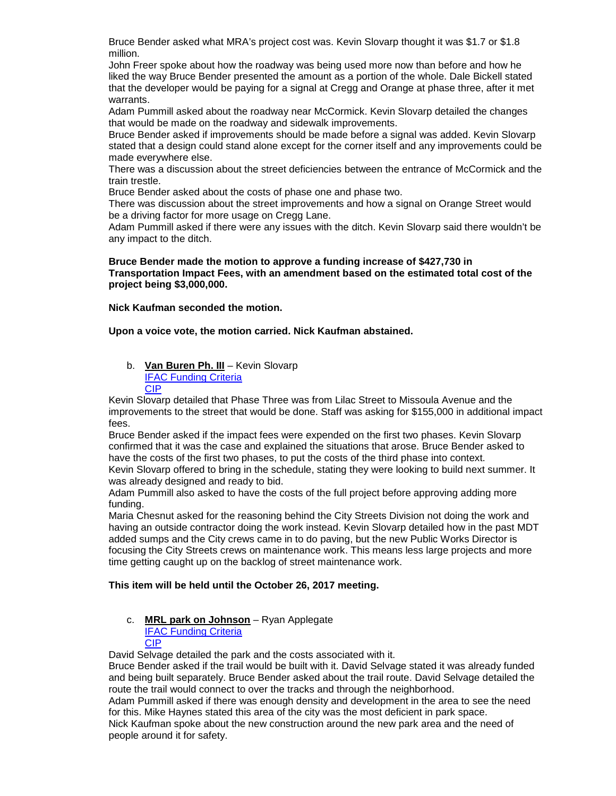Bruce Bender asked what MRA's project cost was. Kevin Slovarp thought it was \$1.7 or \$1.8 million.

John Freer spoke about how the roadway was being used more now than before and how he liked the way Bruce Bender presented the amount as a portion of the whole. Dale Bickell stated that the developer would be paying for a signal at Cregg and Orange at phase three, after it met warrants.

Adam Pummill asked about the roadway near McCormick. Kevin Slovarp detailed the changes that would be made on the roadway and sidewalk improvements.

Bruce Bender asked if improvements should be made before a signal was added. Kevin Slovarp stated that a design could stand alone except for the corner itself and any improvements could be made everywhere else.

There was a discussion about the street deficiencies between the entrance of McCormick and the train trestle.

Bruce Bender asked about the costs of phase one and phase two.

There was discussion about the street improvements and how a signal on Orange Street would be a driving factor for more usage on Cregg Lane.

Adam Pummill asked if there were any issues with the ditch. Kevin Slovarp said there wouldn't be any impact to the ditch.

#### **Bruce Bender made the motion to approve a funding increase of \$427,730 in Transportation Impact Fees, with an amendment based on the estimated total cost of the project being \$3,000,000.**

**Nick Kaufman seconded the motion.** 

**Upon a voice vote, the motion carried. Nick Kaufman abstained.**

b. **Van Buren Ph. III** – Kevin Slovarp [IFAC Funding Criteria](https://www.ci.missoula.mt.us/DocumentCenter/View/40363) [CIP](https://www.ci.missoula.mt.us/DocumentCenter/View/39238)

Kevin Slovarp detailed that Phase Three was from Lilac Street to Missoula Avenue and the improvements to the street that would be done. Staff was asking for \$155,000 in additional impact fees.

Bruce Bender asked if the impact fees were expended on the first two phases. Kevin Slovarp confirmed that it was the case and explained the situations that arose. Bruce Bender asked to have the costs of the first two phases, to put the costs of the third phase into context.

Kevin Slovarp offered to bring in the schedule, stating they were looking to build next summer. It was already designed and ready to bid.

Adam Pummill also asked to have the costs of the full project before approving adding more funding.

Maria Chesnut asked for the reasoning behind the City Streets Division not doing the work and having an outside contractor doing the work instead. Kevin Slovarp detailed how in the past MDT added sumps and the City crews came in to do paving, but the new Public Works Director is focusing the City Streets crews on maintenance work. This means less large projects and more time getting caught up on the backlog of street maintenance work.

#### **This item will be held until the October 26, 2017 meeting.**

#### c. **MRL park on Johnson** – Ryan Applegate [IFAC Funding Criteria](https://www.ci.missoula.mt.us/DocumentCenter/View/40360) [CIP](https://www.ci.missoula.mt.us/DocumentCenter/View/39310)

David Selvage detailed the park and the costs associated with it.

Bruce Bender asked if the trail would be built with it. David Selvage stated it was already funded and being built separately. Bruce Bender asked about the trail route. David Selvage detailed the route the trail would connect to over the tracks and through the neighborhood.

Adam Pummill asked if there was enough density and development in the area to see the need for this. Mike Haynes stated this area of the city was the most deficient in park space.

Nick Kaufman spoke about the new construction around the new park area and the need of people around it for safety.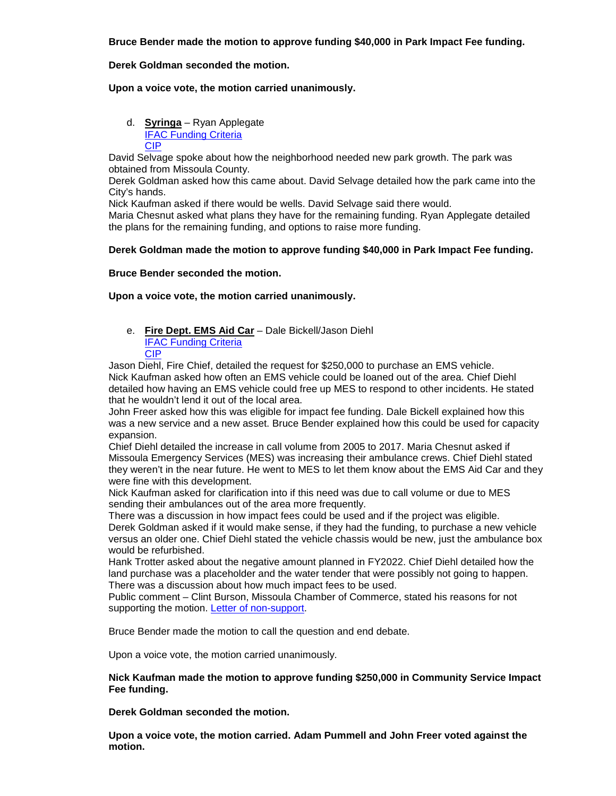**Bruce Bender made the motion to approve funding \$40,000 in Park Impact Fee funding.**

#### **Derek Goldman seconded the motion.**

#### **Upon a voice vote, the motion carried unanimously.**

d. **Syringa** – Ryan Applegate [IFAC Funding Criteria](https://www.ci.missoula.mt.us/DocumentCenter/View/40362) [CIP](https://www.ci.missoula.mt.us/DocumentCenter/View/39256)

David Selvage spoke about how the neighborhood needed new park growth. The park was obtained from Missoula County.

Derek Goldman asked how this came about. David Selvage detailed how the park came into the City's hands.

Nick Kaufman asked if there would be wells. David Selvage said there would.

Maria Chesnut asked what plans they have for the remaining funding. Ryan Applegate detailed the plans for the remaining funding, and options to raise more funding.

#### **Derek Goldman made the motion to approve funding \$40,000 in Park Impact Fee funding.**

#### **Bruce Bender seconded the motion.**

#### **Upon a voice vote, the motion carried unanimously.**

e. **Fire Dept. EMS Aid Car** – Dale Bickell/Jason Diehl [IFAC Funding Criteria](https://www.ci.missoula.mt.us/DocumentCenter/View/40364) [CIP](https://www.ci.missoula.mt.us/DocumentCenter/View/39574)

Jason Diehl, Fire Chief, detailed the request for \$250,000 to purchase an EMS vehicle. Nick Kaufman asked how often an EMS vehicle could be loaned out of the area. Chief Diehl detailed how having an EMS vehicle could free up MES to respond to other incidents. He stated that he wouldn't lend it out of the local area.

John Freer asked how this was eligible for impact fee funding. Dale Bickell explained how this was a new service and a new asset. Bruce Bender explained how this could be used for capacity expansion.

Chief Diehl detailed the increase in call volume from 2005 to 2017. Maria Chesnut asked if Missoula Emergency Services (MES) was increasing their ambulance crews. Chief Diehl stated they weren't in the near future. He went to MES to let them know about the EMS Aid Car and they were fine with this development.

Nick Kaufman asked for clarification into if this need was due to call volume or due to MES sending their ambulances out of the area more frequently.

There was a discussion in how impact fees could be used and if the project was eligible. Derek Goldman asked if it would make sense, if they had the funding, to purchase a new vehicle versus an older one. Chief Diehl stated the vehicle chassis would be new, just the ambulance box would be refurbished.

Hank Trotter asked about the negative amount planned in FY2022. Chief Diehl detailed how the land purchase was a placeholder and the water tender that were possibly not going to happen. There was a discussion about how much impact fees to be used.

Public comment – Clint Burson, Missoula Chamber of Commerce, stated his reasons for not supporting the motion. [Letter of non-support.](https://www.ci.missoula.mt.us/DocumentCenter/View/40458)

Bruce Bender made the motion to call the question and end debate.

Upon a voice vote, the motion carried unanimously.

#### **Nick Kaufman made the motion to approve funding \$250,000 in Community Service Impact Fee funding.**

**Derek Goldman seconded the motion.** 

**Upon a voice vote, the motion carried. Adam Pummell and John Freer voted against the motion.**